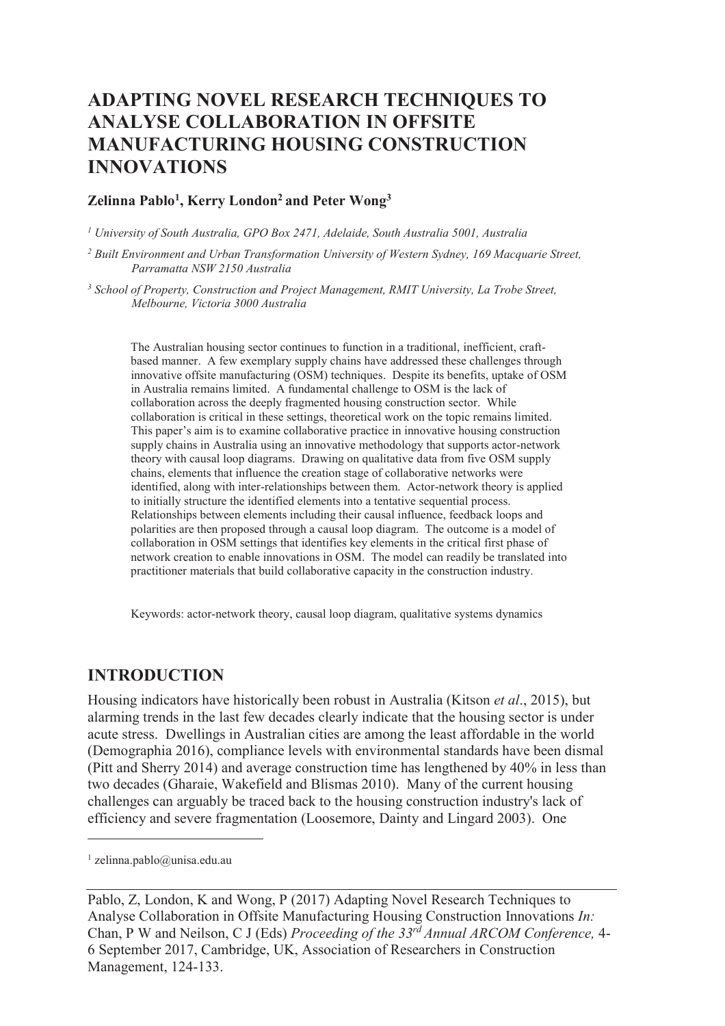# **ADAPTING NOVEL RESEARCH TECHNIQUES TO ANALYSE COLLABORATION IN OFFSITE MANUFACTURING HOUSING CONSTRUCTION INNOVATIONS**

#### **Zelinna Pablo<sup>1</sup> , Kerry London<sup>2</sup>and Peter Wong<sup>3</sup>**

*1 University of South Australia, GPO Box 2471, Adelaide, South Australia 5001, Australia* 

*2 Built Environment and Urban Transformation University of Western Sydney, 169 Macquarie Street, Parramatta NSW 2150 Australia* 

<sup>3</sup> School of Property, Construction and Project Management, RMIT University, La Trobe Street, *Melbourne, Victoria 3000 Australia* 

The Australian housing sector continues to function in a traditional, inefficient, craftbased manner. A few exemplary supply chains have addressed these challenges through innovative offsite manufacturing (OSM) techniques. Despite its benefits, uptake of OSM in Australia remains limited. A fundamental challenge to OSM is the lack of collaboration across the deeply fragmented housing construction sector. While collaboration is critical in these settings, theoretical work on the topic remains limited. This paper's aim is to examine collaborative practice in innovative housing construction supply chains in Australia using an innovative methodology that supports actor-network theory with causal loop diagrams. Drawing on qualitative data from five OSM supply chains, elements that influence the creation stage of collaborative networks were identified, along with inter-relationships between them. Actor-network theory is applied to initially structure the identified elements into a tentative sequential process. Relationships between elements including their causal influence, feedback loops and polarities are then proposed through a causal loop diagram. The outcome is a model of collaboration in OSM settings that identifies key elements in the critical first phase of network creation to enable innovations in OSM. The model can readily be translated into practitioner materials that build collaborative capacity in the construction industry.

Keywords: actor-network theory, causal loop diagram, qualitative systems dynamics

#### **INTRODUCTION**

Housing indicators have historically been robust in Australia (Kitson *et al*., 2015), but alarming trends in the last few decades clearly indicate that the housing sector is under acute stress. Dwellings in Australian cities are among the least affordable in the world (Demographia 2016), compliance levels with environmental standards have been dismal (Pitt and Sherry 2014) and average construction time has lengthened by 40% in less than two decades (Gharaie, Wakefield and Blismas 2010). Many of the current housing challenges can arguably be traced back to the housing construction industry's lack of efficiency and severe fragmentation (Loosemore, Dainty and Lingard 2003). One

 $\overline{a}$ 

<sup>1</sup> zelinna.pablo@unisa.edu.au

Pablo, Z, London, K and Wong, P (2017) Adapting Novel Research Techniques to Analyse Collaboration in Offsite Manufacturing Housing Construction Innovations *In:*  Chan, P W and Neilson, C J (Eds) *Proceeding of the 33rd Annual ARCOM Conference,* 4- 6 September 2017, Cambridge, UK, Association of Researchers in Construction Management, 124-133.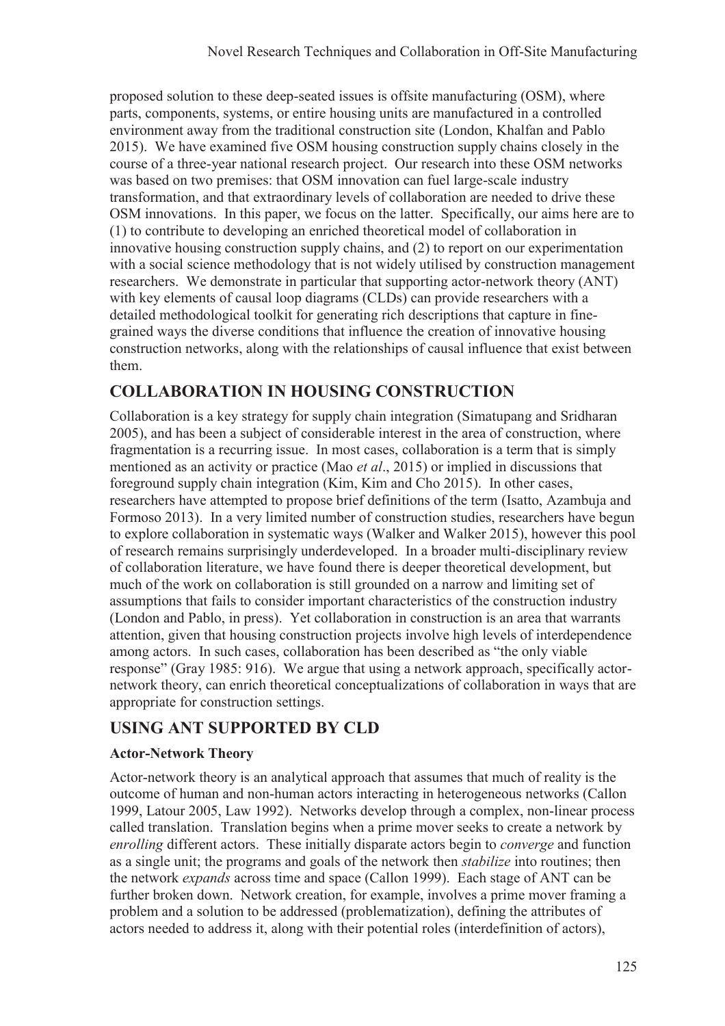proposed solution to these deep-seated issues is offsite manufacturing (OSM), where parts, components, systems, or entire housing units are manufactured in a controlled environment away from the traditional construction site (London, Khalfan and Pablo 2015). We have examined five OSM housing construction supply chains closely in the course of a three-year national research project. Our research into these OSM networks was based on two premises: that OSM innovation can fuel large-scale industry transformation, and that extraordinary levels of collaboration are needed to drive these OSM innovations. In this paper, we focus on the latter. Specifically, our aims here are to (1) to contribute to developing an enriched theoretical model of collaboration in innovative housing construction supply chains, and (2) to report on our experimentation with a social science methodology that is not widely utilised by construction management researchers. We demonstrate in particular that supporting actor-network theory (ANT) with key elements of causal loop diagrams (CLDs) can provide researchers with a detailed methodological toolkit for generating rich descriptions that capture in finegrained ways the diverse conditions that influence the creation of innovative housing construction networks, along with the relationships of causal influence that exist between them.

# **COLLABORATION IN HOUSING CONSTRUCTION**

Collaboration is a key strategy for supply chain integration (Simatupang and Sridharan 2005), and has been a subject of considerable interest in the area of construction, where fragmentation is a recurring issue. In most cases, collaboration is a term that is simply mentioned as an activity or practice (Mao *et al*., 2015) or implied in discussions that foreground supply chain integration (Kim, Kim and Cho 2015). In other cases, researchers have attempted to propose brief definitions of the term (Isatto, Azambuja and Formoso 2013). In a very limited number of construction studies, researchers have begun to explore collaboration in systematic ways (Walker and Walker 2015), however this pool of research remains surprisingly underdeveloped. In a broader multi-disciplinary review of collaboration literature, we have found there is deeper theoretical development, but much of the work on collaboration is still grounded on a narrow and limiting set of assumptions that fails to consider important characteristics of the construction industry (London and Pablo, in press). Yet collaboration in construction is an area that warrants attention, given that housing construction projects involve high levels of interdependence among actors. In such cases, collaboration has been described as "the only viable response" (Gray 1985: 916). We argue that using a network approach, specifically actornetwork theory, can enrich theoretical conceptualizations of collaboration in ways that are appropriate for construction settings.

### **USING ANT SUPPORTED BY CLD**

### **Actor-Network Theory**

Actor-network theory is an analytical approach that assumes that much of reality is the outcome of human and non-human actors interacting in heterogeneous networks (Callon 1999, Latour 2005, Law 1992). Networks develop through a complex, non-linear process called translation. Translation begins when a prime mover seeks to create a network by *enrolling* different actors. These initially disparate actors begin to *converge* and function as a single unit; the programs and goals of the network then *stabilize* into routines; then the network *expands* across time and space (Callon 1999). Each stage of ANT can be further broken down. Network creation, for example, involves a prime mover framing a problem and a solution to be addressed (problematization), defining the attributes of actors needed to address it, along with their potential roles (interdefinition of actors),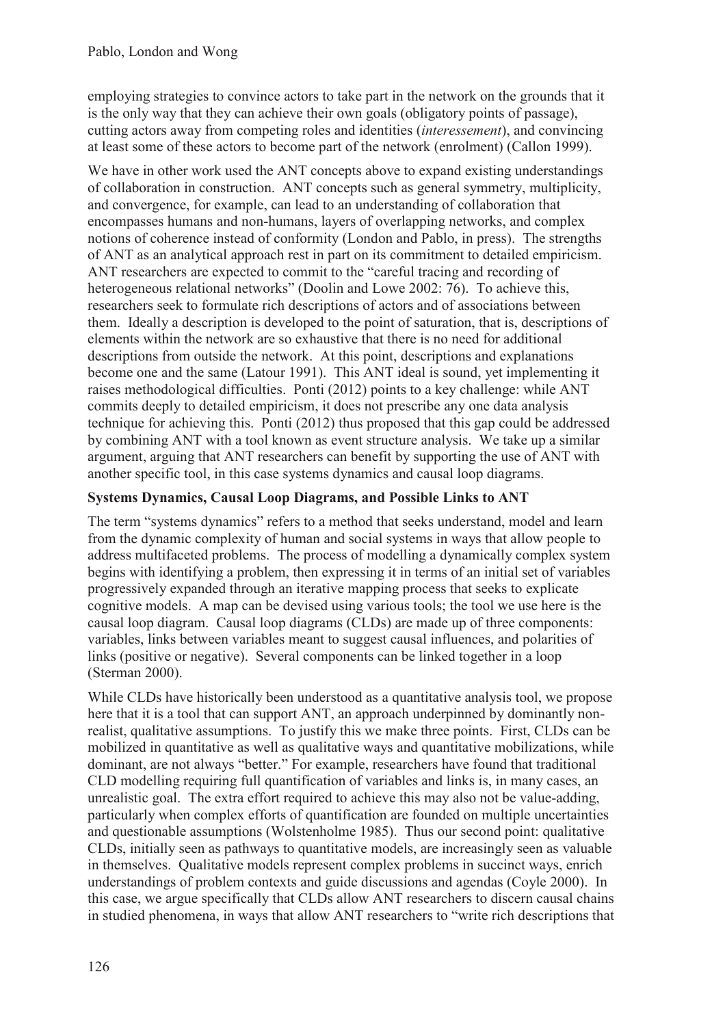employing strategies to convince actors to take part in the network on the grounds that it is the only way that they can achieve their own goals (obligatory points of passage), cutting actors away from competing roles and identities (*interessement*), and convincing at least some of these actors to become part of the network (enrolment) (Callon 1999).

We have in other work used the ANT concepts above to expand existing understandings of collaboration in construction. ANT concepts such as general symmetry, multiplicity, and convergence, for example, can lead to an understanding of collaboration that encompasses humans and non-humans, layers of overlapping networks, and complex notions of coherence instead of conformity (London and Pablo, in press). The strengths of ANT as an analytical approach rest in part on its commitment to detailed empiricism. ANT researchers are expected to commit to the "careful tracing and recording of heterogeneous relational networks" (Doolin and Lowe 2002: 76). To achieve this, researchers seek to formulate rich descriptions of actors and of associations between them. Ideally a description is developed to the point of saturation, that is, descriptions of elements within the network are so exhaustive that there is no need for additional descriptions from outside the network. At this point, descriptions and explanations become one and the same (Latour 1991). This ANT ideal is sound, yet implementing it raises methodological difficulties. Ponti (2012) points to a key challenge: while ANT commits deeply to detailed empiricism, it does not prescribe any one data analysis technique for achieving this. Ponti (2012) thus proposed that this gap could be addressed by combining ANT with a tool known as event structure analysis. We take up a similar argument, arguing that ANT researchers can benefit by supporting the use of ANT with another specific tool, in this case systems dynamics and causal loop diagrams.

### **Systems Dynamics, Causal Loop Diagrams, and Possible Links to ANT**

The term "systems dynamics" refers to a method that seeks understand, model and learn from the dynamic complexity of human and social systems in ways that allow people to address multifaceted problems. The process of modelling a dynamically complex system begins with identifying a problem, then expressing it in terms of an initial set of variables progressively expanded through an iterative mapping process that seeks to explicate cognitive models. A map can be devised using various tools; the tool we use here is the causal loop diagram. Causal loop diagrams (CLDs) are made up of three components: variables, links between variables meant to suggest causal influences, and polarities of links (positive or negative). Several components can be linked together in a loop (Sterman 2000).

While CLDs have historically been understood as a quantitative analysis tool, we propose here that it is a tool that can support ANT, an approach underpinned by dominantly nonrealist, qualitative assumptions. To justify this we make three points. First, CLDs can be mobilized in quantitative as well as qualitative ways and quantitative mobilizations, while dominant, are not always "better." For example, researchers have found that traditional CLD modelling requiring full quantification of variables and links is, in many cases, an unrealistic goal. The extra effort required to achieve this may also not be value-adding, particularly when complex efforts of quantification are founded on multiple uncertainties and questionable assumptions (Wolstenholme 1985). Thus our second point: qualitative CLDs, initially seen as pathways to quantitative models, are increasingly seen as valuable in themselves. Qualitative models represent complex problems in succinct ways, enrich understandings of problem contexts and guide discussions and agendas (Coyle 2000). In this case, we argue specifically that CLDs allow ANT researchers to discern causal chains in studied phenomena, in ways that allow ANT researchers to "write rich descriptions that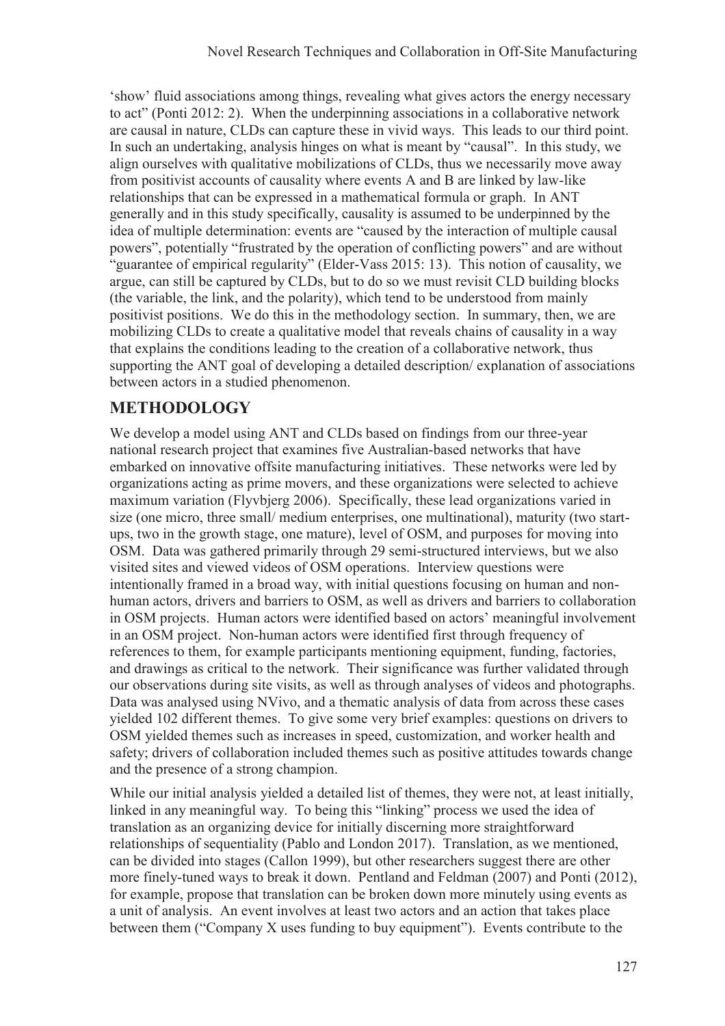'show' fluid associations among things, revealing what gives actors the energy necessary to act" (Ponti 2012: 2). When the underpinning associations in a collaborative network are causal in nature, CLDs can capture these in vivid ways. This leads to our third point. In such an undertaking, analysis hinges on what is meant by "causal". In this study, we align ourselves with qualitative mobilizations of CLDs, thus we necessarily move away from positivist accounts of causality where events A and B are linked by law-like relationships that can be expressed in a mathematical formula or graph. In ANT generally and in this study specifically, causality is assumed to be underpinned by the idea of multiple determination: events are "caused by the interaction of multiple causal powers", potentially "frustrated by the operation of conflicting powers" and are without "guarantee of empirical regularity" (Elder-Vass 2015: 13). This notion of causality, we argue, can still be captured by CLDs, but to do so we must revisit CLD building blocks (the variable, the link, and the polarity), which tend to be understood from mainly positivist positions. We do this in the methodology section. In summary, then, we are mobilizing CLDs to create a qualitative model that reveals chains of causality in a way that explains the conditions leading to the creation of a collaborative network, thus supporting the ANT goal of developing a detailed description/ explanation of associations between actors in a studied phenomenon.

## **METHODOLOGY**

We develop a model using ANT and CLDs based on findings from our three-year national research project that examines five Australian-based networks that have embarked on innovative offsite manufacturing initiatives. These networks were led by organizations acting as prime movers, and these organizations were selected to achieve maximum variation (Flyvbjerg 2006). Specifically, these lead organizations varied in size (one micro, three small/ medium enterprises, one multinational), maturity (two startups, two in the growth stage, one mature), level of OSM, and purposes for moving into OSM. Data was gathered primarily through 29 semi-structured interviews, but we also visited sites and viewed videos of OSM operations. Interview questions were intentionally framed in a broad way, with initial questions focusing on human and nonhuman actors, drivers and barriers to OSM, as well as drivers and barriers to collaboration in OSM projects. Human actors were identified based on actors' meaningful involvement in an OSM project. Non-human actors were identified first through frequency of references to them, for example participants mentioning equipment, funding, factories, and drawings as critical to the network. Their significance was further validated through our observations during site visits, as well as through analyses of videos and photographs. Data was analysed using NVivo, and a thematic analysis of data from across these cases yielded 102 different themes. To give some very brief examples: questions on drivers to OSM yielded themes such as increases in speed, customization, and worker health and safety; drivers of collaboration included themes such as positive attitudes towards change and the presence of a strong champion.

While our initial analysis yielded a detailed list of themes, they were not, at least initially, linked in any meaningful way. To being this "linking" process we used the idea of translation as an organizing device for initially discerning more straightforward relationships of sequentiality (Pablo and London 2017). Translation, as we mentioned, can be divided into stages (Callon 1999), but other researchers suggest there are other more finely-tuned ways to break it down. Pentland and Feldman (2007) and Ponti (2012), for example, propose that translation can be broken down more minutely using events as a unit of analysis. An event involves at least two actors and an action that takes place between them ("Company X uses funding to buy equipment"). Events contribute to the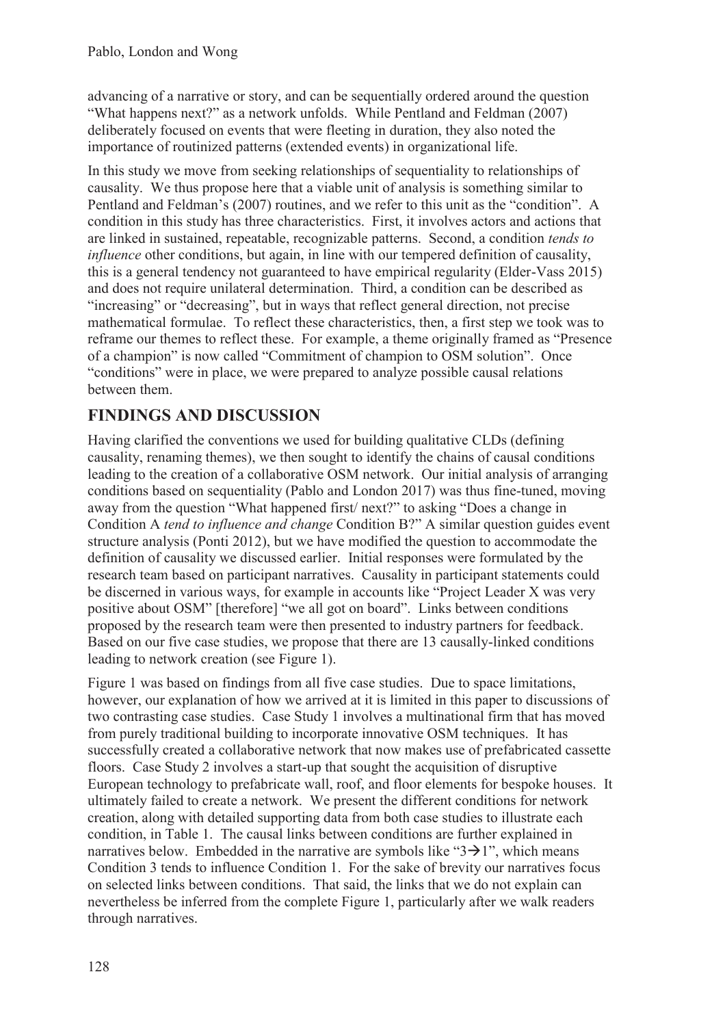advancing of a narrative or story, and can be sequentially ordered around the question "What happens next?" as a network unfolds. While Pentland and Feldman (2007) deliberately focused on events that were fleeting in duration, they also noted the importance of routinized patterns (extended events) in organizational life.

In this study we move from seeking relationships of sequentiality to relationships of causality. We thus propose here that a viable unit of analysis is something similar to Pentland and Feldman's (2007) routines, and we refer to this unit as the "condition". A condition in this study has three characteristics. First, it involves actors and actions that are linked in sustained, repeatable, recognizable patterns. Second, a condition *tends to influence* other conditions, but again, in line with our tempered definition of causality, this is a general tendency not guaranteed to have empirical regularity (Elder-Vass 2015) and does not require unilateral determination. Third, a condition can be described as "increasing" or "decreasing", but in ways that reflect general direction, not precise mathematical formulae. To reflect these characteristics, then, a first step we took was to reframe our themes to reflect these. For example, a theme originally framed as "Presence of a champion" is now called "Commitment of champion to OSM solution". Once "conditions" were in place, we were prepared to analyze possible causal relations between them.

# **FINDINGS AND DISCUSSION**

Having clarified the conventions we used for building qualitative CLDs (defining causality, renaming themes), we then sought to identify the chains of causal conditions leading to the creation of a collaborative OSM network. Our initial analysis of arranging conditions based on sequentiality (Pablo and London 2017) was thus fine-tuned, moving away from the question "What happened first/ next?" to asking "Does a change in Condition A *tend to influence and change* Condition B?" A similar question guides event structure analysis (Ponti 2012), but we have modified the question to accommodate the definition of causality we discussed earlier. Initial responses were formulated by the research team based on participant narratives. Causality in participant statements could be discerned in various ways, for example in accounts like "Project Leader X was very positive about OSM" [therefore] "we all got on board". Links between conditions proposed by the research team were then presented to industry partners for feedback. Based on our five case studies, we propose that there are 13 causally-linked conditions leading to network creation (see Figure 1).

Figure 1 was based on findings from all five case studies. Due to space limitations, however, our explanation of how we arrived at it is limited in this paper to discussions of two contrasting case studies. Case Study 1 involves a multinational firm that has moved from purely traditional building to incorporate innovative OSM techniques. It has successfully created a collaborative network that now makes use of prefabricated cassette floors. Case Study 2 involves a start-up that sought the acquisition of disruptive European technology to prefabricate wall, roof, and floor elements for bespoke houses. It ultimately failed to create a network. We present the different conditions for network creation, along with detailed supporting data from both case studies to illustrate each condition, in Table 1. The causal links between conditions are further explained in narratives below. Embedded in the narrative are symbols like " $3\rightarrow 1$ ", which means Condition 3 tends to influence Condition 1. For the sake of brevity our narratives focus on selected links between conditions. That said, the links that we do not explain can nevertheless be inferred from the complete Figure 1, particularly after we walk readers through narratives.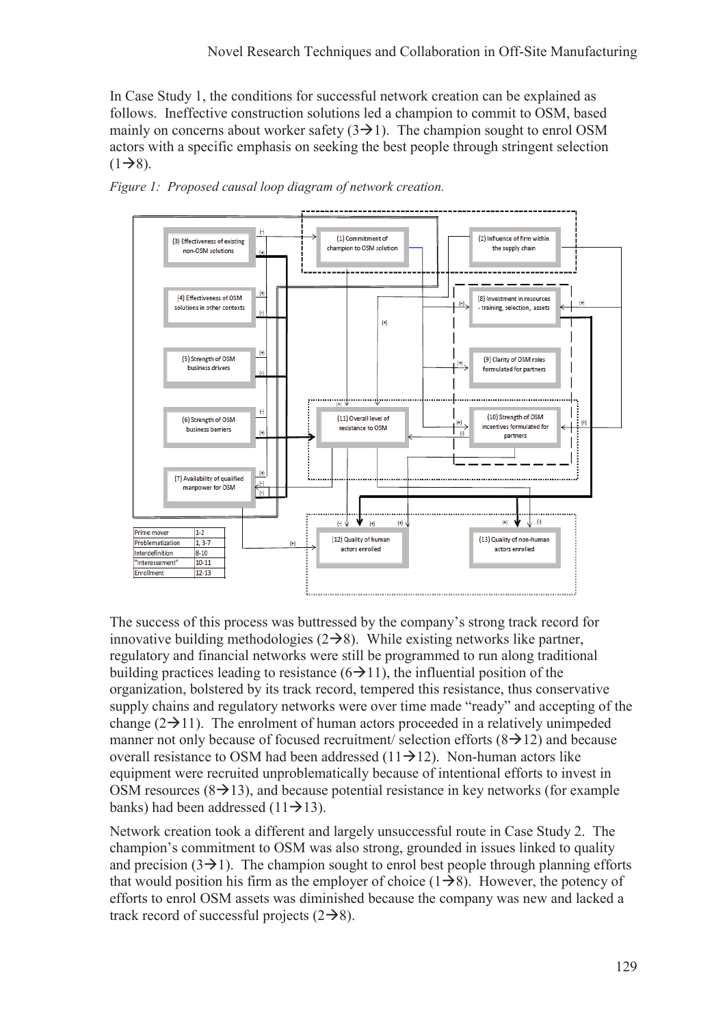In Case Study 1, the conditions for successful network creation can be explained as follows. Ineffective construction solutions led a champion to commit to OSM, based mainly on concerns about worker safety  $(3\rightarrow 1)$ . The champion sought to enrol OSM actors with a specific emphasis on seeking the best people through stringent selection  $(1\rightarrow 8)$ .





The success of this process was buttressed by the company's strong track record for innovative building methodologies  $(2\rightarrow 8)$ . While existing networks like partner, regulatory and financial networks were still be programmed to run along traditional building practices leading to resistance  $(6\rightarrow 11)$ , the influential position of the organization, bolstered by its track record, tempered this resistance, thus conservative supply chains and regulatory networks were over time made "ready" and accepting of the change  $(2\rightarrow 11)$ . The enrolment of human actors proceeded in a relatively unimpeded manner not only because of focused recruitment/ selection efforts  $(8\rightarrow 12)$  and because overall resistance to OSM had been addressed  $(11\rightarrow 12)$ . Non-human actors like equipment were recruited unproblematically because of intentional efforts to invest in OSM resources  $(8\rightarrow 13)$ , and because potential resistance in key networks (for example banks) had been addressed  $(11\rightarrow 13)$ .

Network creation took a different and largely unsuccessful route in Case Study 2. The champion's commitment to OSM was also strong, grounded in issues linked to quality and precision  $(3\rightarrow 1)$ . The champion sought to enrol best people through planning efforts that would position his firm as the employer of choice  $(1\rightarrow 8)$ . However, the potency of efforts to enrol OSM assets was diminished because the company was new and lacked a track record of successful projects  $(2\rightarrow 8)$ .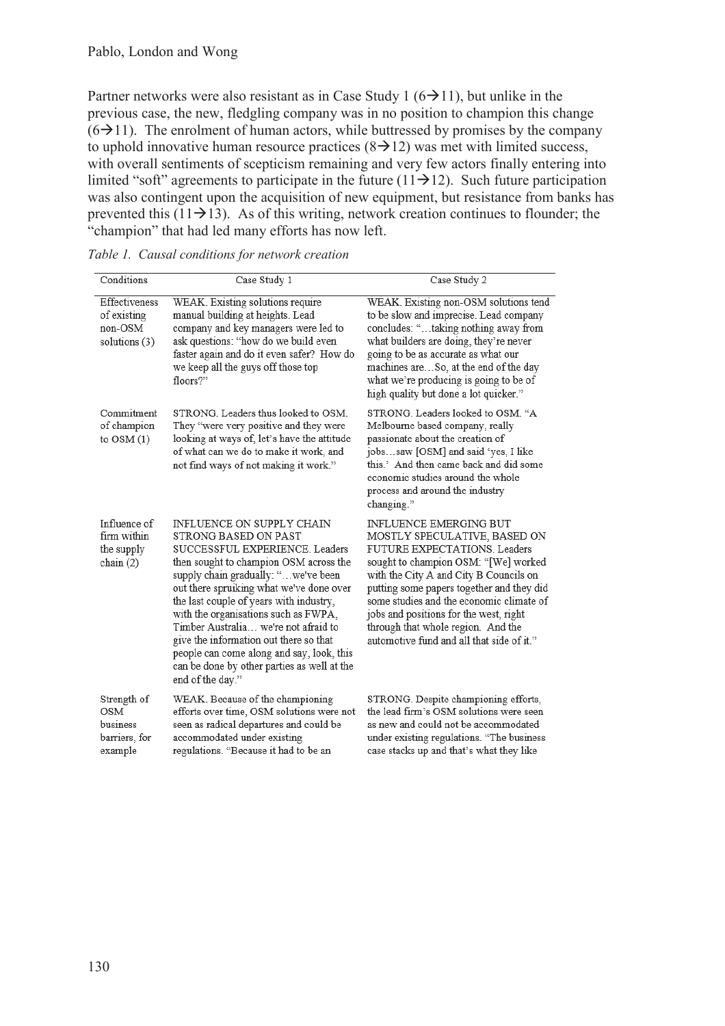Partner networks were also resistant as in Case Study 1 ( $6\rightarrow 11$ ), but unlike in the previous case, the new, fledgling company was in no position to champion this change  $(6\rightarrow 11)$ . The enrolment of human actors, while buttressed by promises by the company to uphold innovative human resource practices  $(8 \rightarrow 12)$  was met with limited success, with overall sentiments of scepticism remaining and very few actors finally entering into limited "soft" agreements to participate in the future ( $11\rightarrow 12$ ). Such future participation was also contingent upon the acquisition of new equipment, but resistance from banks has prevented this  $(11\rightarrow 13)$ . As of this writing, network creation continues to flounder; the "champion" that had led many efforts has now left.

| Conditions                                                        | Case Study 1                                                                                                                                                                                                                                                                                                                                                                                                                                                                                          | Case Study 2                                                                                                                                                                                                                                                                                                                                                                                   |
|-------------------------------------------------------------------|-------------------------------------------------------------------------------------------------------------------------------------------------------------------------------------------------------------------------------------------------------------------------------------------------------------------------------------------------------------------------------------------------------------------------------------------------------------------------------------------------------|------------------------------------------------------------------------------------------------------------------------------------------------------------------------------------------------------------------------------------------------------------------------------------------------------------------------------------------------------------------------------------------------|
| Effectiveness<br>of existing<br>non-OSM<br>solutions (3)          | WEAK. Existing solutions require<br>manual building at heights. Lead<br>company and key managers were led to<br>ask questions: "how do we build even<br>faster again and do it even safer? How do<br>we keep all the guys off those top<br>floors?"                                                                                                                                                                                                                                                   | WEAK. Existing non-OSM solutions tend<br>to be slow and imprecise. Lead company<br>concludes: " taking nothing away from<br>what builders are doing, they're never<br>going to be as accurate as what our<br>machines areSo, at the end of the day<br>what we're producing is going to be of<br>high quality but done a lot quicker."                                                          |
| Commitment<br>of champion<br>to $OSM(1)$                          | STRONG Leaders thus looked to OSM.<br>They "were very positive and they were<br>looking at ways of, let's have the attitude<br>of what can we do to make it work, and<br>not find ways of not making it work."                                                                                                                                                                                                                                                                                        | STRONG. Leaders looked to OSM. "A<br>Melbourne based company, really<br>passionate about the creation of<br>jobssaw [OSM] and said 'yes, I like<br>this.' And then came back and did some<br>economic studies around the whole<br>process and around the industry<br>changing."                                                                                                                |
| Influence of<br>firm within<br>the supply<br>chain $(2)$          | INFLUENCE ON SUPPLY CHAIN<br>STRONG BASED ON PAST<br>SUCCESSFUL EXPERIENCE. Leaders<br>then sought to champion OSM across the<br>supply chain gradually: "we've been<br>out there spruiking what we've done over<br>the last couple of years with industry,<br>with the organisations such as FWPA,<br>Timber Australia we're not afraid to<br>give the information out there so that<br>people can come along and say, look, this<br>can be done by other parties as well at the<br>end of the day." | INFLUENCE EMERGING BUT<br>MOSTLY SPECULATIVE, BASED ON<br>FUTURE EXPECTATIONS. Leaders<br>sought to champion OSM: "[We] worked<br>with the City A and City B Councils on<br>putting some papers together and they did<br>some studies and the economic climate of<br>jobs and positions for the west, right<br>through that whole region. And the<br>automotive fund and all that side of it." |
| Strength of<br><b>OSM</b><br>business<br>barriers, for<br>example | WEAK. Because of the championing<br>efforts over time, OSM solutions were not<br>seen as radical departures and could be<br>accommodated under existing<br>regulations. "Because it had to be an                                                                                                                                                                                                                                                                                                      | STRONG. Despite championing efforts,<br>the lead firm's OSM solutions were seen<br>as new and could not be accommodated<br>under existing regulations. "The business<br>case stacks up and that's what they like                                                                                                                                                                               |

|  |  |  | Table 1. Causal conditions for network creation |
|--|--|--|-------------------------------------------------|
|--|--|--|-------------------------------------------------|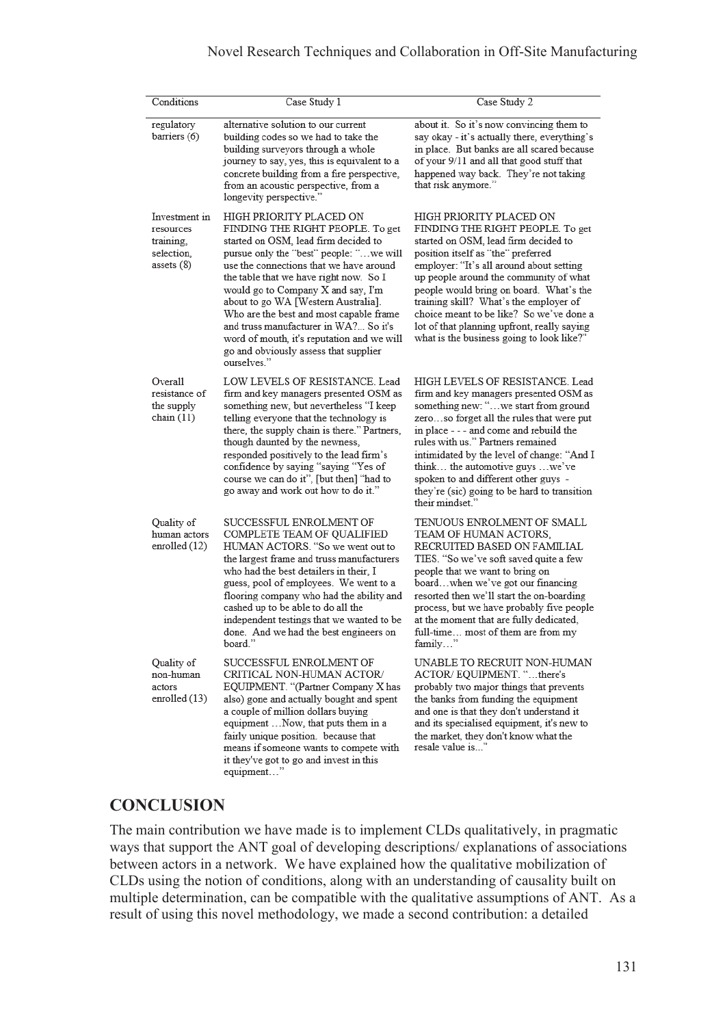#### Novel Research Techniques and Collaboration in Off-Site Manufacturing

| Conditions                                                            | Case Study 1                                                                                                                                                                                                                                                                                                                                                                                                                                                                                               | Case Study 2                                                                                                                                                                                                                                                                                                                                                                                                                                                 |
|-----------------------------------------------------------------------|------------------------------------------------------------------------------------------------------------------------------------------------------------------------------------------------------------------------------------------------------------------------------------------------------------------------------------------------------------------------------------------------------------------------------------------------------------------------------------------------------------|--------------------------------------------------------------------------------------------------------------------------------------------------------------------------------------------------------------------------------------------------------------------------------------------------------------------------------------------------------------------------------------------------------------------------------------------------------------|
| regulatory<br>barriers (6)                                            | alternative solution to our current<br>building codes so we had to take the<br>building surveyors through a whole<br>journey to say, yes, this is equivalent to a<br>concrete building from a fire perspective.<br>from an acoustic perspective, from a<br>longevity perspective."                                                                                                                                                                                                                         | about it. So it's now convincing them to<br>say okay - it's actually there, everything's<br>in place. But banks are all scared because<br>of your 9/11 and all that good stuff that<br>happened way back. They're not taking<br>that risk anymore."                                                                                                                                                                                                          |
| Investment in<br>resources<br>training,<br>selection.<br>assets $(8)$ | HIGH PRIORITY PLACED ON<br>FINDING THE RIGHT PEOPLE. To get<br>started on OSM, lead firm decided to<br>pursue only the "best" people: "we will<br>use the connections that we have around<br>the table that we have right now. So I<br>would go to Company X and say, I'm<br>about to go WA [Western Australia].<br>Who are the best and most capable frame<br>and truss manufacturer in WA? So it's<br>word of mouth, it's reputation and we will<br>go and obviously assess that supplier<br>ourselves." | HIGH PRIORITY PLACED ON<br>FINDING THE RIGHT PEOPLE. To get<br>started on OSM, lead firm decided to<br>position itself as "the" preferred<br>employer: "It's all around about setting<br>up people around the community of what<br>people would bring on board. What's the<br>training skill? What's the employer of<br>choice meant to be like? So we've done a<br>lot of that planning upfront, really saying<br>what is the business going to look like?" |
| Overall<br>resistance of<br>the supply<br>chain $(11)$                | LOW LEVELS OF RESISTANCE, Lead<br>firm and key managers presented OSM as<br>something new, but nevertheless "I keep<br>telling everyone that the technology is<br>there, the supply chain is there." Partners,<br>though daunted by the newness,<br>responded positively to the lead firm's<br>confidence by saying "saying "Yes of<br>course we can do it", [but then] "had to<br>go away and work out how to do it."                                                                                     | HIGH LEVELS OF RESISTANCE. Lead<br>firm and key managers presented OSM as<br>something new: "we start from ground<br>zeroso forget all the rules that were put<br>in place - - - and come and rebuild the<br>rules with us." Partners remained<br>intimidated by the level of change: "And I<br>think the automotive guys we've<br>spoken to and different other guys -<br>they're (sic) going to be hard to transition<br>their mindset."                   |
| Quality of<br>human actors<br>enrolled (12)                           | SUCCESSFUL ENROLMENT OF<br>COMPLETE TEAM OF QUALIFIED<br>HUMAN ACTORS. "So we went out to<br>the largest frame and truss manufacturers<br>who had the best detailers in their, I<br>guess, pool of employees. We went to a<br>flooring company who had the ability and<br>cashed up to be able to do all the<br>independent testings that we wanted to be<br>done. And we had the best engineers on<br>board.                                                                                              | TENUOUS ENROLMENT OF SMALL<br>TEAM OF HUMAN ACTORS.<br>RECRUITED BASED ON FAMILIAL<br>TIES. "So we've soft saved quite a few<br>people that we want to bring on<br>boardwhen we've got our financing<br>resorted then we'll start the on-boarding<br>process, but we have probably five people<br>at the moment that are fully dedicated,<br>full-time most of them are from my<br>family                                                                    |
| Quality of<br>non-human<br>actors<br>enrolled (13)                    | SUCCESSFUL ENROLMENT OF<br>CRITICAL NON-HUMAN ACTOR/<br>EQUIPMENT. "(Partner Company X has<br>also) gone and actually bought and spent<br>a couple of million dollars buying<br>equipment  Now, that puts them in a<br>fairly unique position. because that<br>means if someone wants to compete with<br>it they've got to go and invest in this<br>equipment"                                                                                                                                             | UNABLE TO RECRUIT NON-HUMAN<br>ACTOR/EQUIPMENT. "there's<br>probably two major things that prevents<br>the banks from funding the equipment<br>and one is that they don't understand it<br>and its specialised equipment, it's new to<br>the market, they don't know what the<br>resale value is"                                                                                                                                                            |

### **CONCLUSION**

The main contribution we have made is to implement CLDs qualitatively, in pragmatic ways that support the ANT goal of developing descriptions/ explanations of associations between actors in a network. We have explained how the qualitative mobilization of CLDs using the notion of conditions, along with an understanding of causality built on multiple determination, can be compatible with the qualitative assumptions of ANT. As a result of using this novel methodology, we made a second contribution: a detailed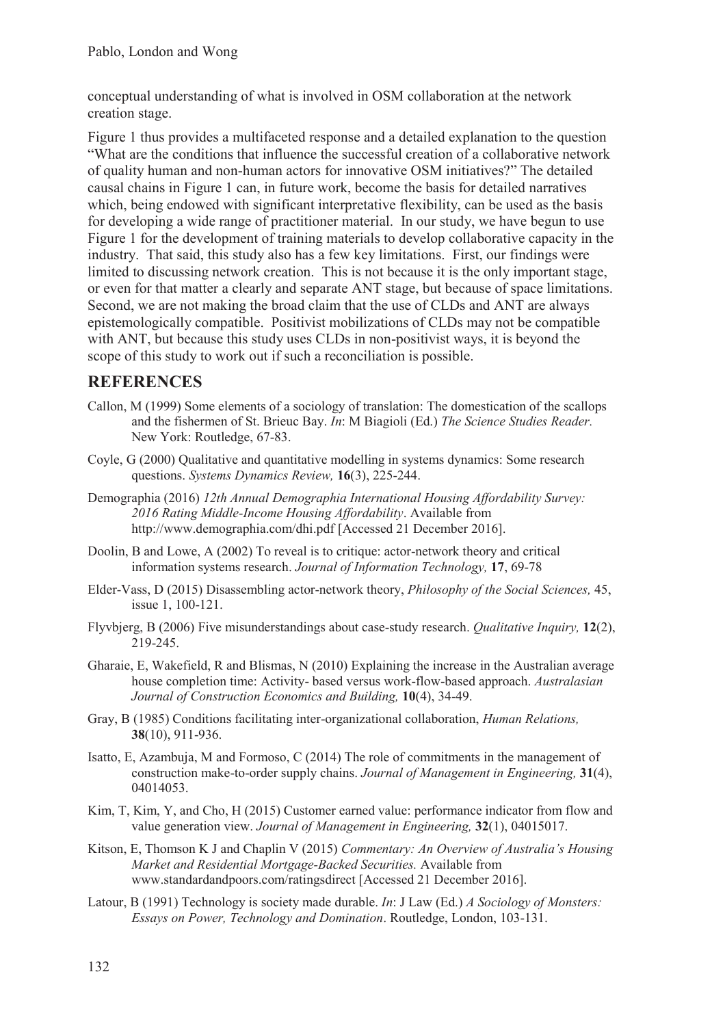conceptual understanding of what is involved in OSM collaboration at the network creation stage.

Figure 1 thus provides a multifaceted response and a detailed explanation to the question "What are the conditions that influence the successful creation of a collaborative network of quality human and non-human actors for innovative OSM initiatives?" The detailed causal chains in Figure 1 can, in future work, become the basis for detailed narratives which, being endowed with significant interpretative flexibility, can be used as the basis for developing a wide range of practitioner material. In our study, we have begun to use Figure 1 for the development of training materials to develop collaborative capacity in the industry. That said, this study also has a few key limitations. First, our findings were limited to discussing network creation. This is not because it is the only important stage, or even for that matter a clearly and separate ANT stage, but because of space limitations. Second, we are not making the broad claim that the use of CLDs and ANT are always epistemologically compatible. Positivist mobilizations of CLDs may not be compatible with ANT, but because this study uses CLDs in non-positivist ways, it is beyond the scope of this study to work out if such a reconciliation is possible.

### **REFERENCES**

- Callon, M (1999) Some elements of a sociology of translation: The domestication of the scallops and the fishermen of St. Brieuc Bay. *In*: M Biagioli (Ed.) *The Science Studies Reader.* New York: Routledge, 67-83.
- Coyle, G (2000) Qualitative and quantitative modelling in systems dynamics: Some research questions. *Systems Dynamics Review,* **16**(3), 225-244.
- Demographia (2016) *12th Annual Demographia International Housing Affordability Survey: 2016 Rating Middle-Income Housing Affordability*. Available from http://www.demographia.com/dhi.pdf [Accessed 21 December 2016].
- Doolin, B and Lowe, A (2002) To reveal is to critique: actor-network theory and critical information systems research. *Journal of Information Technology,* **17**, 69-78
- Elder-Vass, D (2015) Disassembling actor-network theory, *Philosophy of the Social Sciences,* 45, issue 1, 100-121.
- Flyvbjerg, B (2006) Five misunderstandings about case-study research. *Qualitative Inquiry,* **12**(2), 219-245.
- Gharaie, E, Wakefield, R and Blismas, N (2010) Explaining the increase in the Australian average house completion time: Activity- based versus work-flow-based approach. *Australasian Journal of Construction Economics and Building,* **10**(4), 34-49.
- Gray, B (1985) Conditions facilitating inter-organizational collaboration, *Human Relations,* **38**(10), 911-936.
- Isatto, E, Azambuja, M and Formoso, C (2014) The role of commitments in the management of construction make-to-order supply chains. *Journal of Management in Engineering,* **31**(4), 04014053.
- Kim, T, Kim, Y, and Cho, H (2015) Customer earned value: performance indicator from flow and value generation view. *Journal of Management in Engineering,* **32**(1), 04015017.
- Kitson, E, Thomson K J and Chaplin V (2015) *Commentary: An Overview of Australia's Housing Market and Residential Mortgage-Backed Securities.* Available from www.standardandpoors.com/ratingsdirect [Accessed 21 December 2016].
- Latour, B (1991) Technology is society made durable. *In*: J Law (Ed.) *A Sociology of Monsters: Essays on Power, Technology and Domination*. Routledge, London, 103-131.